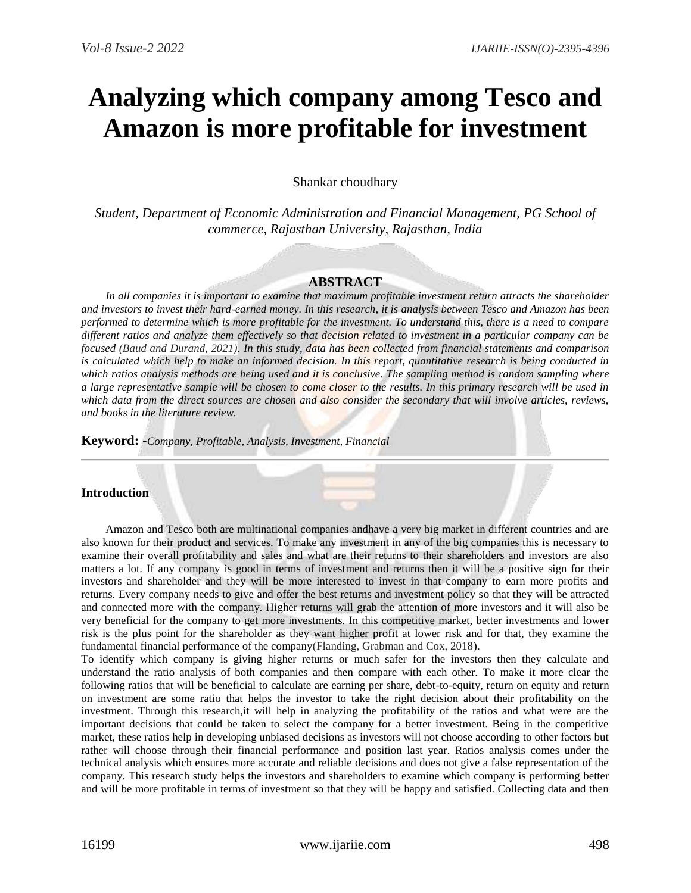# **Analyzing which company among Tesco and Amazon is more profitable for investment**

Shankar choudhary

*Student, Department of Economic Administration and Financial Management, PG School of commerce, Rajasthan University, Rajasthan, India*

#### **ABSTRACT**

*In all companies it is important to examine that maximum profitable investment return attracts the shareholder and investors to invest their hard-earned money. In this research, it is analysis between Tesco and Amazon has been performed to determine which is more profitable for the investment. To understand this, there is a need to compare different ratios and analyze them effectively so that decision related to investment in a particular company can be focused (Baud and Durand, 2021). In this study, data has been collected from financial statements and comparison is calculated which help to make an informed decision. In this report, quantitative research is being conducted in*  which ratios analysis methods are being used and it is conclusive. The sampling method is *random sampling where a large representative sample will be chosen to come closer to the results. In this primary research will be used in which data from the direct sources are chosen and also consider the secondary that will involve articles, reviews, and books in the literature review.* 

**Keyword: -***Company, Profitable, Analysis, Investment, Financial*

# **Introduction**

Amazon and Tesco both are multinational companies andhave a very big market in different countries and are also known for their product and services. To make any investment in any of the big companies this is necessary to examine their overall profitability and sales and what are their returns to their shareholders and investors are also matters a lot. If any company is good in terms of investment and returns then it will be a positive sign for their investors and shareholder and they will be more interested to invest in that company to earn more profits and returns. Every company needs to give and offer the best returns and investment policy so that they will be attracted and connected more with the company. Higher returns will grab the attention of more investors and it will also be very beneficial for the company to get more investments. In this competitive market, better investments and lower risk is the plus point for the shareholder as they want higher profit at lower risk and for that, they examine the fundamental financial performance of the company(Flanding, Grabman and Cox, 2018).

To identify which company is giving higher returns or much safer for the investors then they calculate and understand the ratio analysis of both companies and then compare with each other. To make it more clear the following ratios that will be beneficial to calculate are earning per share, debt-to-equity, return on equity and return on investment are some ratio that helps the investor to take the right decision about their profitability on the investment. Through this research,it will help in analyzing the profitability of the ratios and what were are the important decisions that could be taken to select the company for a better investment. Being in the competitive market, these ratios help in developing unbiased decisions as investors will not choose according to other factors but rather will choose through their financial performance and position last year. Ratios analysis comes under the technical analysis which ensures more accurate and reliable decisions and does not give a false representation of the company. This research study helps the investors and shareholders to examine which company is performing better and will be more profitable in terms of investment so that they will be happy and satisfied. Collecting data and then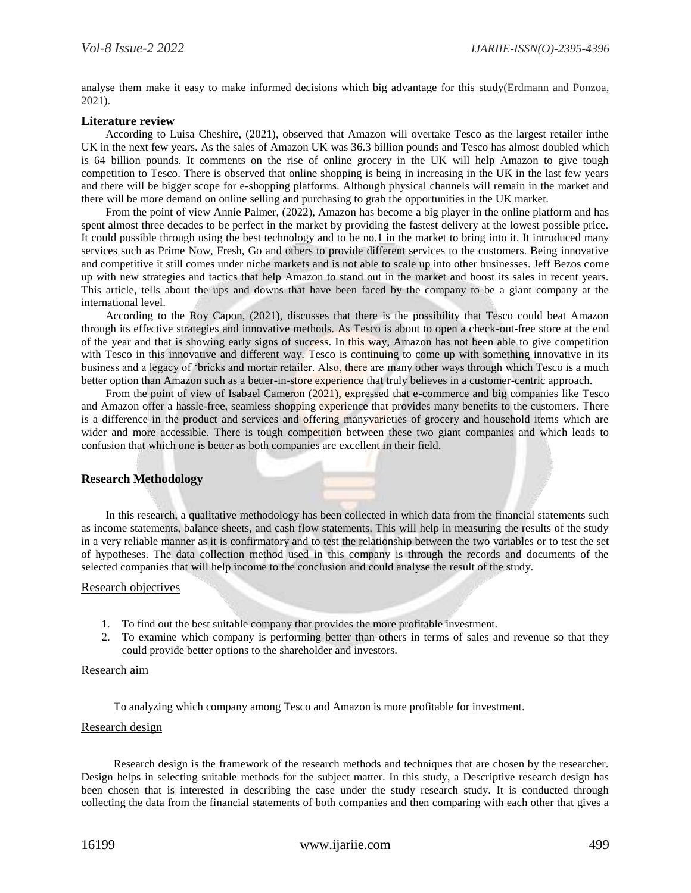analyse them make it easy to make informed decisions which big advantage for this study(Erdmann and Ponzoa, 2021).

#### **Literature review**

According to Luisa Cheshire, (2021), observed that Amazon will overtake Tesco as the largest retailer inthe UK in the next few years. As the sales of Amazon UK was 36.3 billion pounds and Tesco has almost doubled which is 64 billion pounds. It comments on the rise of online grocery in the UK will help Amazon to give tough competition to Tesco. There is observed that online shopping is being in increasing in the UK in the last few years and there will be bigger scope for e-shopping platforms. Although physical channels will remain in the market and there will be more demand on online selling and purchasing to grab the opportunities in the UK market.

From the point of view Annie Palmer, (2022), Amazon has become a big player in the online platform and has spent almost three decades to be perfect in the market by providing the fastest delivery at the lowest possible price. It could possible through using the best technology and to be no.1 in the market to bring into it. It introduced many services such as Prime Now, Fresh, Go and others to provide different services to the customers. Being innovative and competitive it still comes under niche markets and is not able to scale up into other businesses. Jeff Bezos come up with new strategies and tactics that help Amazon to stand out in the market and boost its sales in recent years. This article, tells about the ups and downs that have been faced by the company to be a giant company at the international level.

According to the Roy Capon, (2021), discusses that there is the possibility that Tesco could beat Amazon through its effective strategies and innovative methods. As Tesco is about to open a check-out-free store at the end of the year and that is showing early signs of success. In this way, Amazon has not been able to give competition with Tesco in this innovative and different way. Tesco is continuing to come up with something innovative in its business and a legacy of 'bricks and mortar retailer. Also, there are many other ways through which Tesco is a much better option than Amazon such as a better-in-store experience that truly believes in a customer-centric approach.

From the point of view of Isabael Cameron (2021), expressed that e-commerce and big companies like Tesco and Amazon offer a hassle-free, seamless shopping experience that provides many benefits to the customers. There is a difference in the product and services and offering manyvarieties of grocery and household items which are wider and more accessible. There is tough competition between these two giant companies and which leads to confusion that which one is better as both companies are excellent in their field.

# **Research Methodology**

In this research, a qualitative methodology has been collected in which data from the financial statements such as income statements, balance sheets, and cash flow statements. This will help in measuring the results of the study in a very reliable manner as it is confirmatory and to test the relationship between the two variables or to test the set of hypotheses. The data collection method used in this company is through the records and documents of the selected companies that will help income to the conclusion and could analyse the result of the study.

#### Research objectives

- 1. To find out the best suitable company that provides the more profitable investment.
- 2. To examine which company is performing better than others in terms of sales and revenue so that they could provide better options to the shareholder and investors.

## Research aim

To analyzing which company among Tesco and Amazon is more profitable for investment.

## Research design

Research design is the framework of the research methods and techniques that are chosen by the researcher. Design helps in selecting suitable methods for the subject matter. In this study, a Descriptive research design has been chosen that is interested in describing the case under the study research study. It is conducted through collecting the data from the financial statements of both companies and then comparing with each other that gives a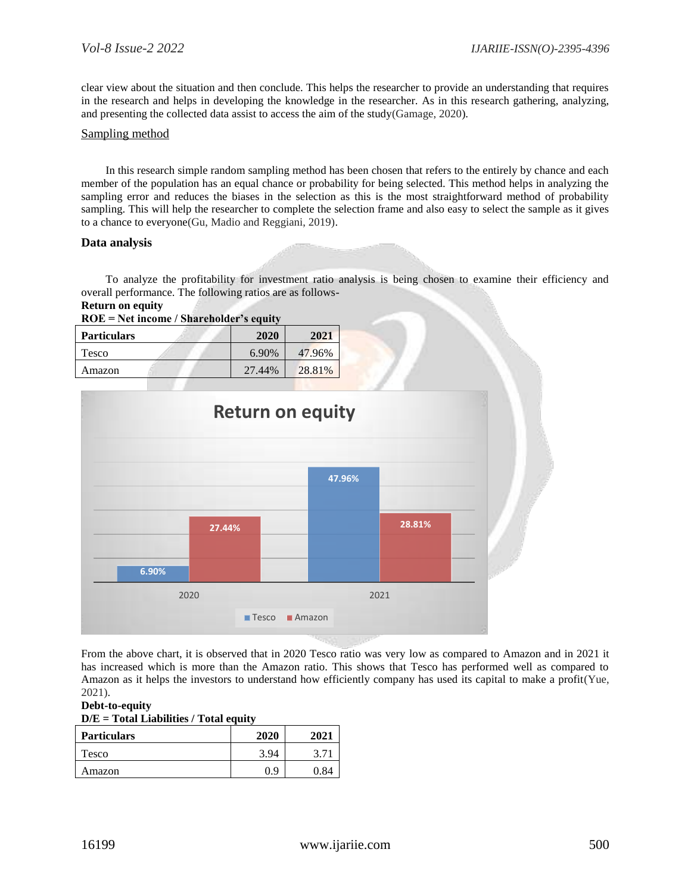clear view about the situation and then conclude. This helps the researcher to provide an understanding that requires in the research and helps in developing the knowledge in the researcher. As in this research gathering, analyzing, and presenting the collected data assist to access the aim of the study(Gamage, 2020).

## Sampling method

In this research simple random sampling method has been chosen that refers to the entirely by chance and each member of the population has an equal chance or probability for being selected. This method helps in analyzing the sampling error and reduces the biases in the selection as this is the most straightforward method of probability sampling. This will help the researcher to complete the selection frame and also easy to select the sample as it gives to a chance to everyone(Gu, Madio and Reggiani, 2019).

# **Data analysis**

To analyze the profitability for investment ratio analysis is being chosen to examine their efficiency and overall performance. The following ratios are as follows-

| <b>Return on equity</b> |  |  |
|-------------------------|--|--|
|                         |  |  |

| $ROE = Net income / Sharedholder's equity$ |        |        |  |
|--------------------------------------------|--------|--------|--|
| <b>Particulars</b>                         | 2020   | 2021   |  |
| Tesco                                      | 6.90%  | 47.96% |  |
| Amazon                                     | 27.44% | 28.81% |  |



From the above chart, it is observed that in 2020 Tesco ratio was very low as compared to Amazon and in 2021 it has increased which is more than the Amazon ratio. This shows that Tesco has performed well as compared to Amazon as it helps the investors to understand how efficiently company has used its capital to make a profit(Yue, 2021).

**Debt-to-equity**

| $D/E = Total Liabilities / Total equity$ |  |  |
|------------------------------------------|--|--|
|                                          |  |  |

| <b>Particulars</b> | 2020 | 2021          |
|--------------------|------|---------------|
| Tesco              | 3.94 |               |
| Amazon             | 0.9  | $\mathcal{R}$ |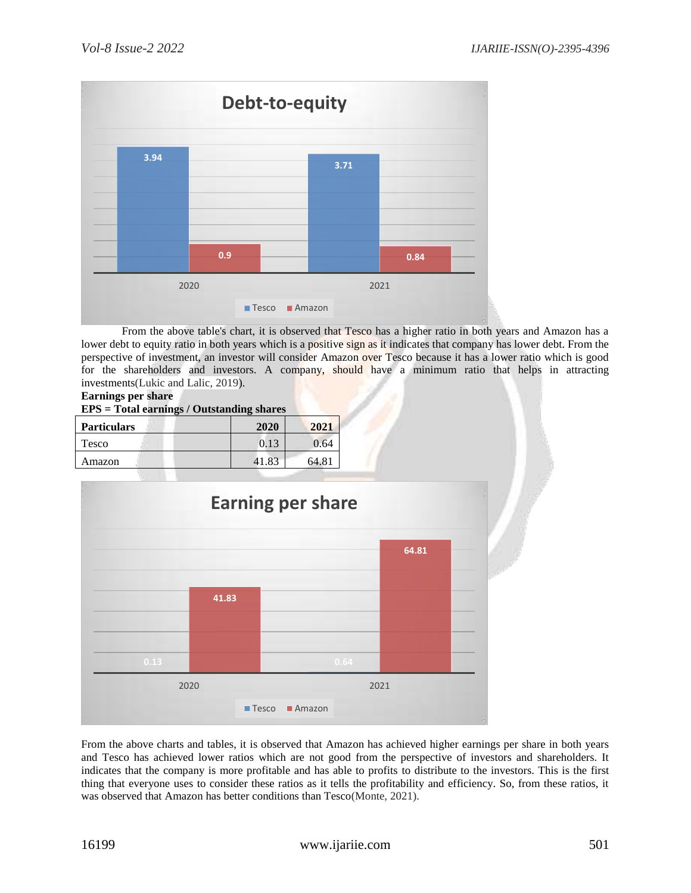

From the above table's chart, it is observed that Tesco has a higher ratio in both years and Amazon has a lower debt to equity ratio in both years which is a positive sign as it indicates that company has lower debt. From the perspective of investment, an investor will consider Amazon over Tesco because it has a lower ratio which is good for the shareholders and investors. A company, should have a minimum ratio that helps in attracting investments(Lukic and Lalic, 2019).

## **Earnings per share**

| <b>EPS</b> = Total earnings / Outstanding shares |  |
|--------------------------------------------------|--|
|--------------------------------------------------|--|

| <b>Particulars</b> | 2020 | 2021  |
|--------------------|------|-------|
| Tesco              | 0.13 | 0.64  |
| Amazon             | .83  | 64.81 |



From the above charts and tables, it is observed that Amazon has achieved higher earnings per share in both years and Tesco has achieved lower ratios which are not good from the perspective of investors and shareholders. It indicates that the company is more profitable and has able to profits to distribute to the investors. This is the first thing that everyone uses to consider these ratios as it tells the profitability and efficiency. So, from these ratios, it was observed that Amazon has better conditions than Tesco(Monte, 2021).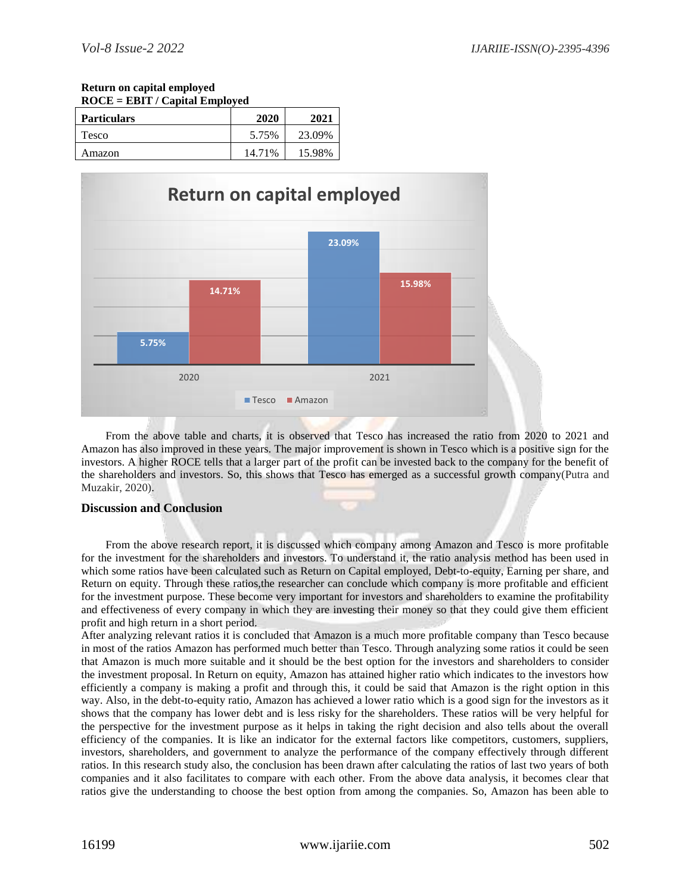#### **Return on capital employed ROCE = EBIT / Capital Employed**

| $NOLE = EBI1 / Calnial Ellipivela$ |        |        |
|------------------------------------|--------|--------|
| <b>Particulars</b>                 | 2020   | 2021   |
| Tesco                              | 5.75%  | 23.09% |
| Amazon                             | 14.71% | 15.98% |



From the above table and charts, it is observed that Tesco has increased the ratio from 2020 to 2021 and Amazon has also improved in these years. The major improvement is shown in Tesco which is a positive sign for the investors. A higher ROCE tells that a larger part of the profit can be invested back to the company for the benefit of the shareholders and investors. So, this shows that Tesco has emerged as a successful growth company(Putra and Muzakir, 2020).

# **Discussion and Conclusion**

From the above research report, it is discussed which company among Amazon and Tesco is more profitable for the investment for the shareholders and investors. To understand it, the ratio analysis method has been used in which some ratios have been calculated such as Return on Capital employed, Debt-to-equity, Earning per share, and Return on equity. Through these ratios,the researcher can conclude which company is more profitable and efficient for the investment purpose. These become very important for investors and shareholders to examine the profitability and effectiveness of every company in which they are investing their money so that they could give them efficient profit and high return in a short period.

After analyzing relevant ratios it is concluded that Amazon is a much more profitable company than Tesco because in most of the ratios Amazon has performed much better than Tesco. Through analyzing some ratios it could be seen that Amazon is much more suitable and it should be the best option for the investors and shareholders to consider the investment proposal. In Return on equity, Amazon has attained higher ratio which indicates to the investors how efficiently a company is making a profit and through this, it could be said that Amazon is the right option in this way. Also, in the debt-to-equity ratio, Amazon has achieved a lower ratio which is a good sign for the investors as it shows that the company has lower debt and is less risky for the shareholders. These ratios will be very helpful for the perspective for the investment purpose as it helps in taking the right decision and also tells about the overall efficiency of the companies. It is like an indicator for the external factors like competitors, customers, suppliers, investors, shareholders, and government to analyze the performance of the company effectively through different ratios. In this research study also, the conclusion has been drawn after calculating the ratios of last two years of both companies and it also facilitates to compare with each other. From the above data analysis, it becomes clear that ratios give the understanding to choose the best option from among the companies. So, Amazon has been able to